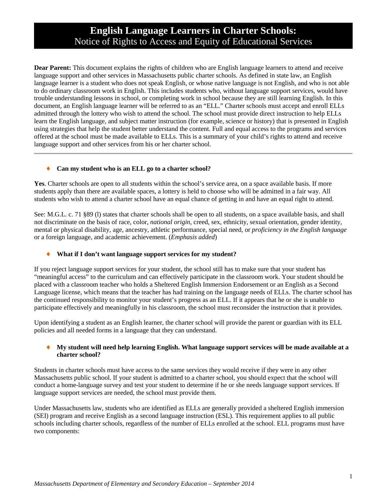# **English Language Learners in Charter Schools:** Notice of Rights to Access and Equity of Educational Services

**Dear Parent:** This document explains the rights of children who are English language learners to attend and receive language support and other services in Massachusetts public charter schools. As defined in state law, an English language learner is a student who does not speak English, or whose native language is not English, and who is not able to do ordinary classroom work in English. This includes students who, without language support services, would have trouble understanding lessons in school, or completing work in school because they are still learning English. In this document, an English language learner will be referred to as an "ELL." Charter schools must accept and enroll ELLs admitted through the lottery who wish to attend the school. The school must provide direct instruction to help ELLs learn the English language, and subject matter instruction (for example, science or history) that is presented in English using strategies that help the student better understand the content. Full and equal access to the programs and services offered at the school must be made available to ELLs. This is a summary of your child's rights to attend and receive language support and other services from his or her charter school.

## ♦ **Can my student who is an ELL go to a charter school?**

**Yes**. Charter schools are open to all students within the school's service area, on a space available basis. If more students apply than there are available spaces, a lottery is held to choose who will be admitted in a fair way. All students who wish to attend a charter school have an equal chance of getting in and have an equal right to attend.

See: M.G.L. c. 71 §89 (l) states that charter schools shall be open to all students, on a space available basis, and shall not discriminate on the basis of race, color, *national origin*, creed, sex, ethnicity, sexual orientation, gender identity, mental or physical disability, age, ancestry, athletic performance, special need, or *proficiency in the English language* or a foreign language, and academic achievement. (*Emphasis added*)

## What if I don't want language support services for my student?

If you reject language support services for your student, the school still has to make sure that your student has "meaningful access" to the curriculum and can effectively participate in the classroom work. Your student should be placed with a classroom teacher who holds a Sheltered English Immersion Endorsement or an English as a Second Language license, which means that the teacher has had training on the language needs of ELLs. The charter school has the continued responsibility to monitor your student's progress as an ELL. If it appears that he or she is unable to participate effectively and meaningfully in his classroom, the school must reconsider the instruction that it provides.

Upon identifying a student as an English learner, the charter school will provide the parent or guardian with its ELL policies and all needed forms in a language that they can understand.

## ♦ **My student will need help learning English. What language support services will be made available at a charter school?**

Students in charter schools must have access to the same services they would receive if they were in any other Massachusetts public school. If your student is admitted to a charter school, you should expect that the school will conduct a home-language survey and test your student to determine if he or she needs language support services. If language support services are needed, the school must provide them.

Under Massachusetts law, students who are identified as ELLs are generally provided a sheltered English immersion (SEI) program and receive English as a second language instruction (ESL). This requirement applies to all public schools including charter schools, regardless of the number of ELLs enrolled at the school. ELL programs must have two components: